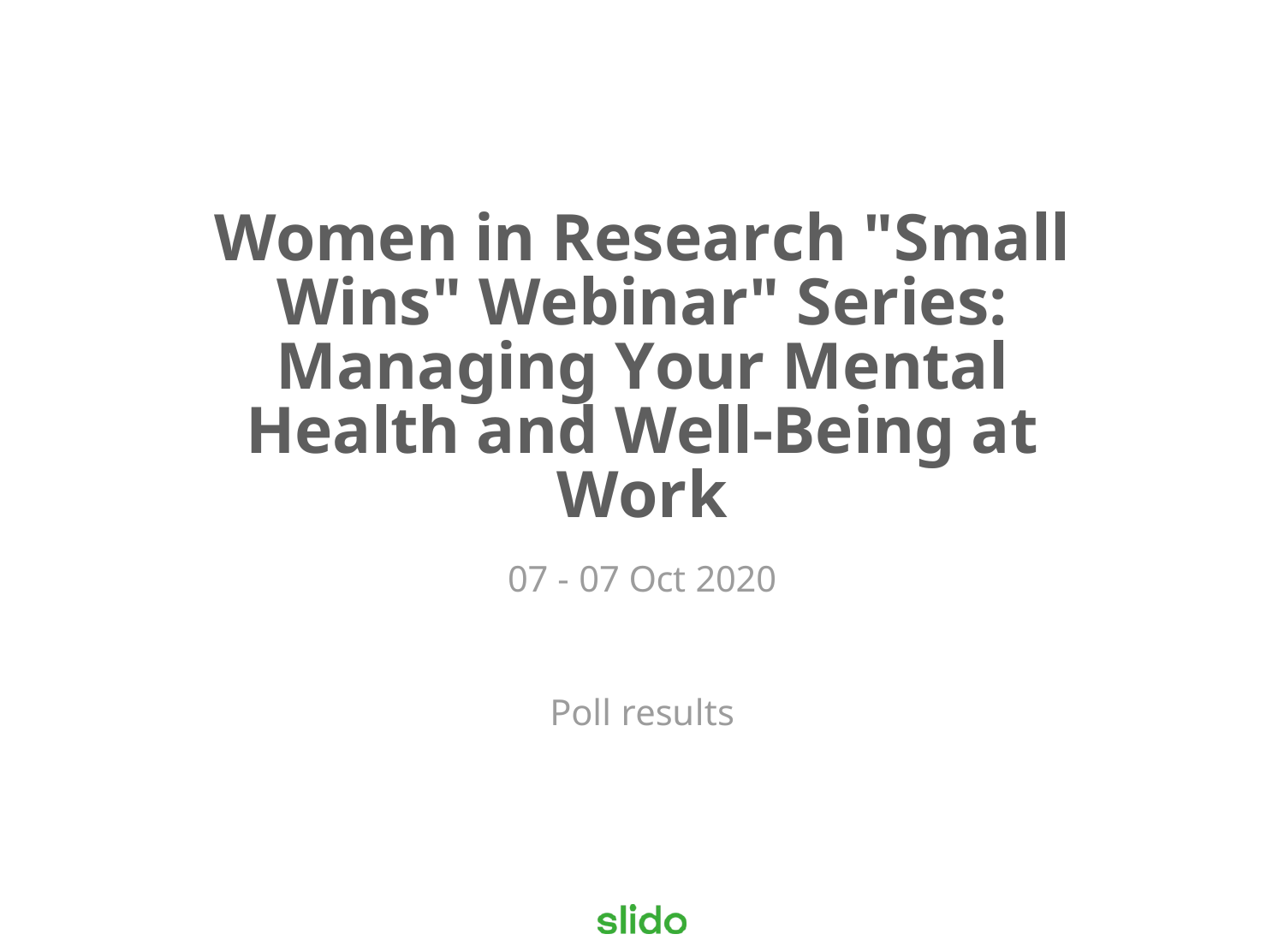# **Women in Research "Small Wins" Webinar" Series: Managing Your Mental Health and Well-Being at Work**

07 - 07 Oct 2020

Poll results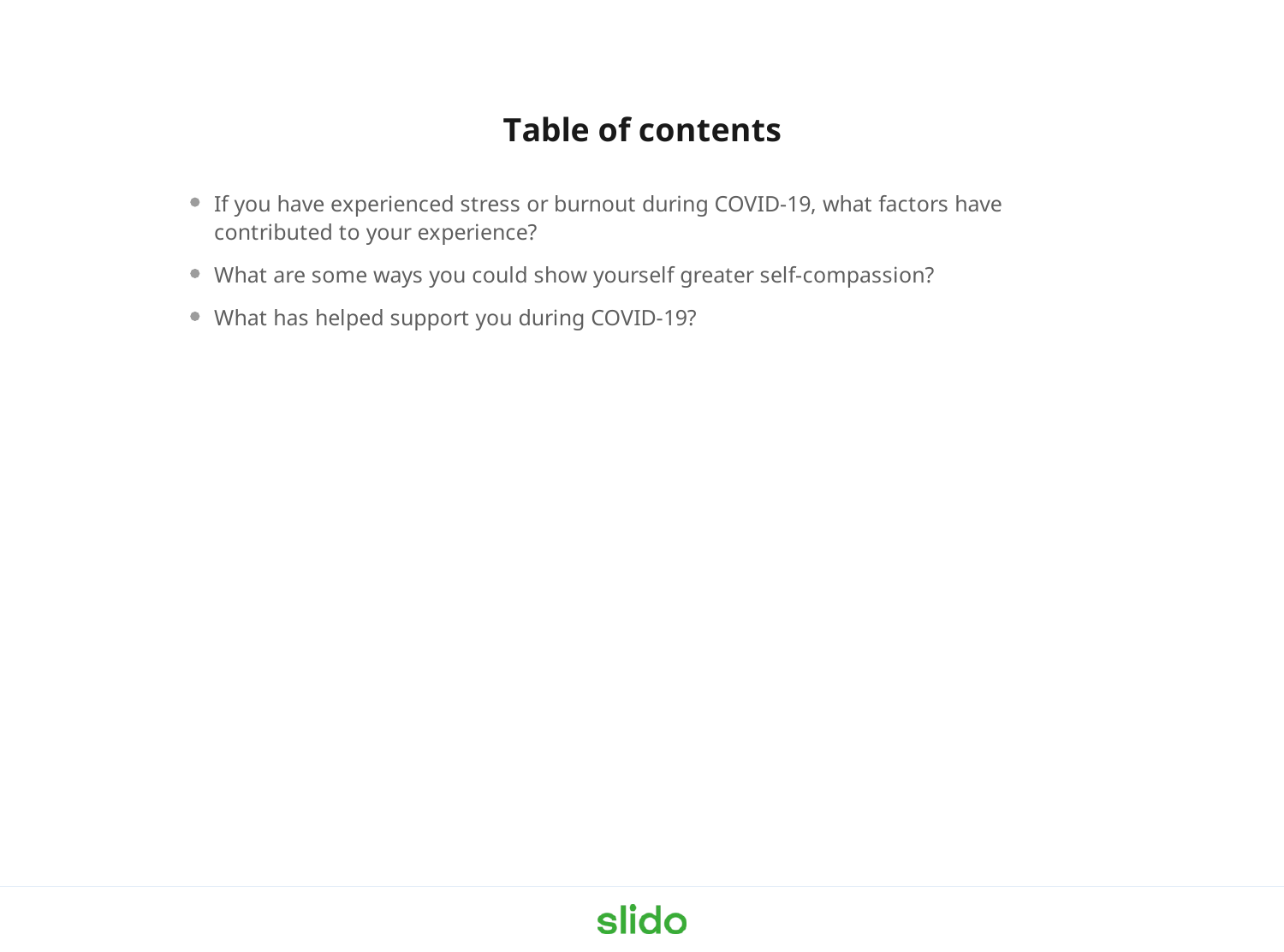### **Table of contents**

- If you have experienced stress or burnout during COVID-19, what factors have contributed to your experience?
- What are some ways you could show yourself greater self-compassion?
- What has helped support you during COVID-19?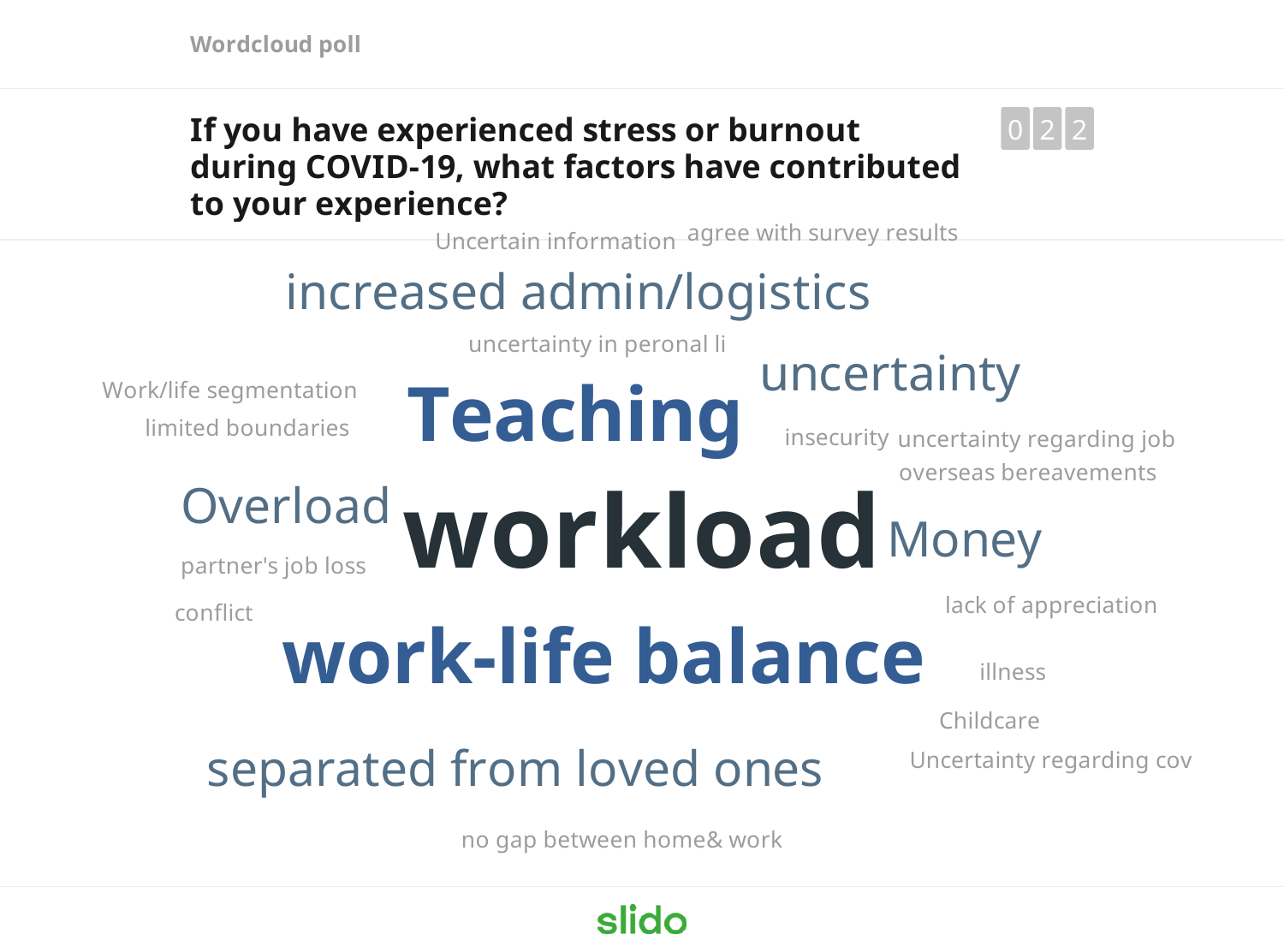**Wordcloud poll**

#### **If you have experienced stress or burnout during COVID-19, what factors have contributed to your experience?**



Uncertain information agree with survey results

# increased admin/logistics

**Teaching**

uncertainty in peronal li

limited boundaries Work/life segmentation

conflict

insecurity uncertainty regarding job

uncertainty

overseas bereavements

#### **Overload workload** Money partner's job loss

lack of appreciation

# **work-life balance**

illness

Childcare

## separated from loved ones

Uncertainty regarding cov

no gap between home& work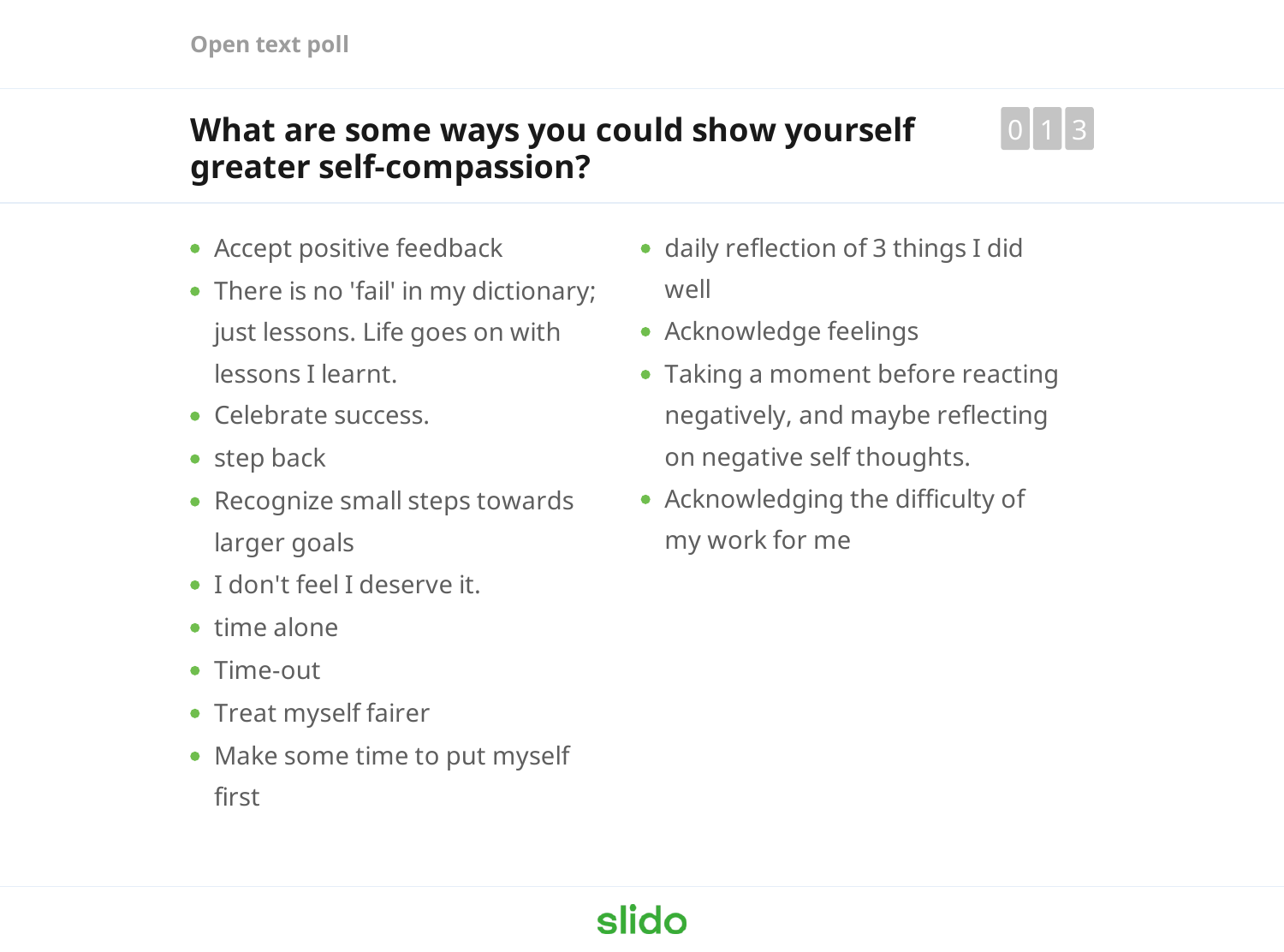#### **What are some ways you could show yourself greater self-compassion?**



- Accept positive feedback
- There is no 'fail' in my dictionary; just lessons. Life goes on with lessons I learnt.
- Celebrate success.
- step back
- Recognize small steps towards larger goals
- I don't feel I deserve it.
- time alone
- Time-out
- Treat myself fairer
- Make some time to put myself first
- daily reflection of 3 things I did well
- Acknowledge feelings
- Taking a moment before reacting negatively, and maybe reflecting on negative self thoughts.
- Acknowledging the difficulty of my work for me